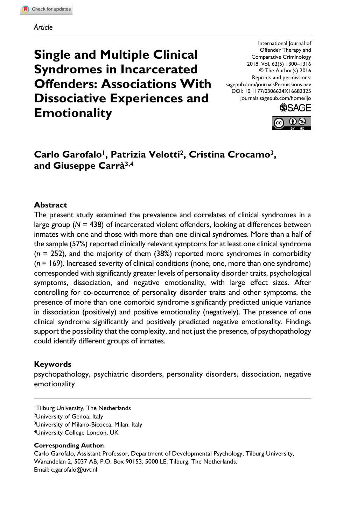# **Single and Multiple Clinical Syndromes in Incarcerated Offenders: Associations With Dissociative Experiences and Emotionality**

DOI: 10.1177/0306624X16682325 International Journal of Offender Therapy and Comparative Criminology 2018, Vol. 62(5) 1300–1316 © The Author(s) 2016 Reprints and permissions: [sagepub.com/journalsPermissions.nav](https://us.sagepub.com/en-us/journals-permissions) [journals.sagepub.com/home/ijo](https://journals.sagepub.com/home/ijo)



Carlo Garofalo<sup>1</sup>, Patrizia Velotti<sup>2</sup>, Cristina Crocamo<sup>3</sup>, **and Giuseppe Carrà3,4**

## **Abstract**

The present study examined the prevalence and correlates of clinical syndromes in a large group (*N* = 438) of incarcerated violent offenders, looking at differences between inmates with one and those with more than one clinical syndromes. More than a half of the sample (57%) reported clinically relevant symptoms for at least one clinical syndrome (*n* = 252), and the majority of them (38%) reported more syndromes in comorbidity (*n* = 169). Increased severity of clinical conditions (none, one, more than one syndrome) corresponded with significantly greater levels of personality disorder traits, psychological symptoms, dissociation, and negative emotionality, with large effect sizes. After controlling for co-occurrence of personality disorder traits and other symptoms, the presence of more than one comorbid syndrome significantly predicted unique variance in dissociation (positively) and positive emotionality (negatively). The presence of one clinical syndrome significantly and positively predicted negative emotionality. Findings support the possibility that the complexity, and not just the presence, of psychopathology could identify different groups of inmates.

## **Keywords**

psychopathology, psychiatric disorders, personality disorders, dissociation, negative emotionality

1Tilburg University, The Netherlands

2University of Genoa, Italy

3University of Milano-Bicocca, Milan, Italy

4University College London, UK

#### **Corresponding Author:**

Carlo Garofalo, Assistant Professor, Department of Developmental Psychology, Tilburg University, Warandelan 2, 5037 AB, P.O. Box 90153, 5000 LE, Tilburg, The Netherlands. Email: [c.garofalo@uvt.nl](mailto:c.garofalo@uvt.nl)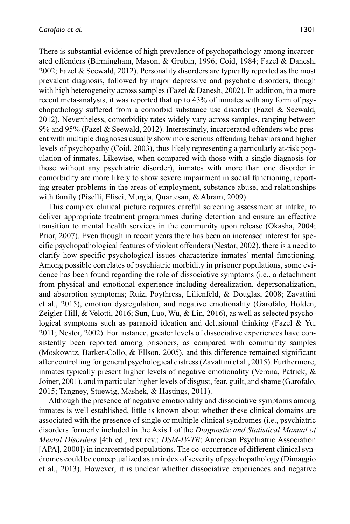There is substantial evidence of high prevalence of psychopathology among incarcerated offenders (Birmingham, Mason, & Grubin, 1996; Coid, 1984; Fazel & Danesh, 2002; Fazel & Seewald, 2012). Personality disorders are typically reported as the most prevalent diagnosis, followed by major depressive and psychotic disorders, though with high heterogeneity across samples (Fazel & Danesh, 2002). In addition, in a more recent meta-analysis, it was reported that up to 43% of inmates with any form of psychopathology suffered from a comorbid substance use disorder (Fazel & Seewald, 2012). Nevertheless, comorbidity rates widely vary across samples, ranging between 9% and 95% (Fazel & Seewald, 2012). Interestingly, incarcerated offenders who present with multiple diagnoses usually show more serious offending behaviors and higher levels of psychopathy (Coid, 2003), thus likely representing a particularly at-risk population of inmates. Likewise, when compared with those with a single diagnosis (or those without any psychiatric disorder), inmates with more than one disorder in comorbidity are more likely to show severe impairment in social functioning, reporting greater problems in the areas of employment, substance abuse, and relationships with family (Piselli, Elisei, Murgia, Quartesan, & Abram, 2009).

This complex clinical picture requires careful screening assessment at intake, to deliver appropriate treatment programmes during detention and ensure an effective transition to mental health services in the community upon release (Okasha, 2004; Prior, 2007). Even though in recent years there has been an increased interest for specific psychopathological features of violent offenders (Nestor, 2002), there is a need to clarify how specific psychological issues characterize inmates' mental functioning. Among possible correlates of psychiatric morbidity in prisoner populations, some evidence has been found regarding the role of dissociative symptoms (i.e., a detachment from physical and emotional experience including derealization, depersonalization, and absorption symptoms; Ruiz, Poythress, Lilienfeld, & Douglas, 2008; Zavattini et al., 2015), emotion dysregulation, and negative emotionality (Garofalo, Holden, Zeigler-Hill, & Velotti, 2016; Sun, Luo, Wu, & Lin, 2016), as well as selected psychological symptoms such as paranoid ideation and delusional thinking (Fazel & Yu, 2011; Nestor, 2002). For instance, greater levels of dissociative experiences have consistently been reported among prisoners, as compared with community samples (Moskowitz, Barker-Collo, & Ellson, 2005), and this difference remained significant after controlling for general psychological distress (Zavattini et al., 2015). Furthermore, inmates typically present higher levels of negative emotionality (Verona, Patrick, & Joiner, 2001), and in particular higher levels of disgust, fear, guilt, and shame (Garofalo, 2015; Tangney, Stuewig, Mashek, & Hastings, 2011).

Although the presence of negative emotionality and dissociative symptoms among inmates is well established, little is known about whether these clinical domains are associated with the presence of single or multiple clinical syndromes (i.e., psychiatric disorders formerly included in the Axis I of the *Diagnostic and Statistical Manual of Mental Disorders* [4th ed., text rev.; *DSM-IV-TR*; American Psychiatric Association [APA], 2000]) in incarcerated populations. The co-occurrence of different clinical syndromes could be conceptualized as an index of severity of psychopathology (Dimaggio et al., 2013). However, it is unclear whether dissociative experiences and negative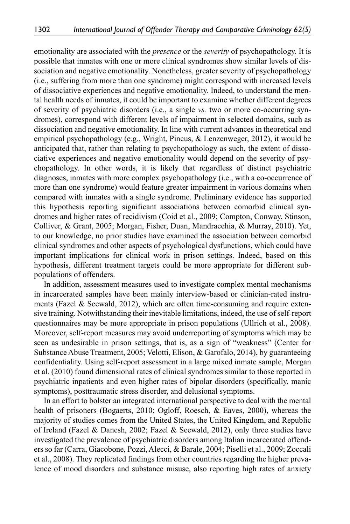emotionality are associated with the *presence* or the *severity* of psychopathology. It is possible that inmates with one or more clinical syndromes show similar levels of dissociation and negative emotionality. Nonetheless, greater severity of psychopathology (i.e., suffering from more than one syndrome) might correspond with increased levels of dissociative experiences and negative emotionality. Indeed, to understand the mental health needs of inmates, it could be important to examine whether different degrees of severity of psychiatric disorders (i.e., a single *vs.* two or more co-occurring syndromes), correspond with different levels of impairment in selected domains, such as dissociation and negative emotionality. In line with current advances in theoretical and empirical psychopathology (e.g., Wright, Pincus, & Lenzenweger, 2012), it would be anticipated that, rather than relating to psychopathology as such, the extent of dissociative experiences and negative emotionality would depend on the severity of psychopathology. In other words, it is likely that regardless of distinct psychiatric diagnoses, inmates with more complex psychopathology (i.e., with a co-occurrence of more than one syndrome) would feature greater impairment in various domains when compared with inmates with a single syndrome. Preliminary evidence has supported this hypothesis reporting significant associations between comorbid clinical syndromes and higher rates of recidivism (Coid et al., 2009; Compton, Conway, Stinson, Colliver, & Grant, 2005; Morgan, Fisher, Duan, Mandracchia, & Murray, 2010). Yet, to our knowledge, no prior studies have examined the association between comorbid clinical syndromes and other aspects of psychological dysfunctions, which could have important implications for clinical work in prison settings. Indeed, based on this hypothesis, different treatment targets could be more appropriate for different subpopulations of offenders.

In addition, assessment measures used to investigate complex mental mechanisms in incarcerated samples have been mainly interview-based or clinician-rated instruments (Fazel & Seewald, 2012), which are often time-consuming and require extensive training. Notwithstanding their inevitable limitations, indeed, the use of self-report questionnaires may be more appropriate in prison populations (Ullrich et al., 2008). Moreover, self-report measures may avoid underreporting of symptoms which may be seen as undesirable in prison settings, that is, as a sign of "weakness" (Center for Substance Abuse Treatment, 2005; Velotti, Elison, & Garofalo, 2014), by guaranteeing confidentiality. Using self-report assessment in a large mixed inmate sample, Morgan et al. (2010) found dimensional rates of clinical syndromes similar to those reported in psychiatric inpatients and even higher rates of bipolar disorders (specifically, manic symptoms), posttraumatic stress disorder, and delusional symptoms.

In an effort to bolster an integrated international perspective to deal with the mental health of prisoners (Bogaerts, 2010; Ogloff, Roesch, & Eaves, 2000), whereas the majority of studies comes from the United States, the United Kingdom, and Republic of Ireland (Fazel & Danesh, 2002; Fazel & Seewald, 2012), only three studies have investigated the prevalence of psychiatric disorders among Italian incarcerated offenders so far (Carra, Giacobone, Pozzi, Alecci, & Barale, 2004; Piselli et al., 2009; Zoccali et al., 2008). They replicated findings from other countries regarding the higher prevalence of mood disorders and substance misuse, also reporting high rates of anxiety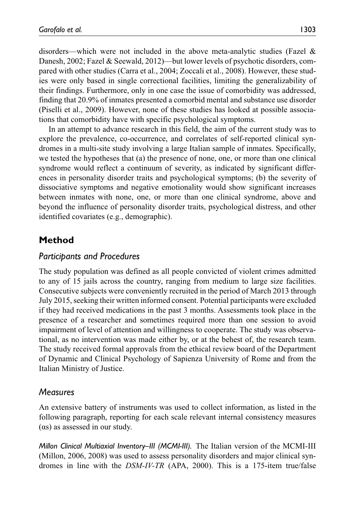disorders—which were not included in the above meta-analytic studies (Fazel & Danesh, 2002; Fazel & Seewald, 2012)—but lower levels of psychotic disorders, compared with other studies (Carra et al., 2004; Zoccali et al., 2008). However, these studies were only based in single correctional facilities, limiting the generalizability of their findings. Furthermore, only in one case the issue of comorbidity was addressed, finding that 20.9% of inmates presented a comorbid mental and substance use disorder (Piselli et al., 2009). However, none of these studies has looked at possible associations that comorbidity have with specific psychological symptoms.

In an attempt to advance research in this field, the aim of the current study was to explore the prevalence, co-occurrence, and correlates of self-reported clinical syndromes in a multi-site study involving a large Italian sample of inmates. Specifically, we tested the hypotheses that (a) the presence of none, one, or more than one clinical syndrome would reflect a continuum of severity, as indicated by significant differences in personality disorder traits and psychological symptoms; (b) the severity of dissociative symptoms and negative emotionality would show significant increases between inmates with none, one, or more than one clinical syndrome, above and beyond the influence of personality disorder traits, psychological distress, and other identified covariates (e.g., demographic).

# **Method**

## *Participants and Procedures*

The study population was defined as all people convicted of violent crimes admitted to any of 15 jails across the country, ranging from medium to large size facilities. Consecutive subjects were conveniently recruited in the period of March 2013 through July 2015, seeking their written informed consent. Potential participants were excluded if they had received medications in the past 3 months. Assessments took place in the presence of a researcher and sometimes required more than one session to avoid impairment of level of attention and willingness to cooperate. The study was observational, as no intervention was made either by, or at the behest of, the research team. The study received formal approvals from the ethical review board of the Department of Dynamic and Clinical Psychology of Sapienza University of Rome and from the Italian Ministry of Justice.

## *Measures*

An extensive battery of instruments was used to collect information, as listed in the following paragraph, reporting for each scale relevant internal consistency measures (αs) as assessed in our study.

*Millon Clinical Multiaxial Inventory–III (MCMI-III).* The Italian version of the MCMI-III (Millon, 2006, 2008) was used to assess personality disorders and major clinical syndromes in line with the *DSM-IV-TR* (APA, 2000). This is a 175-item true/false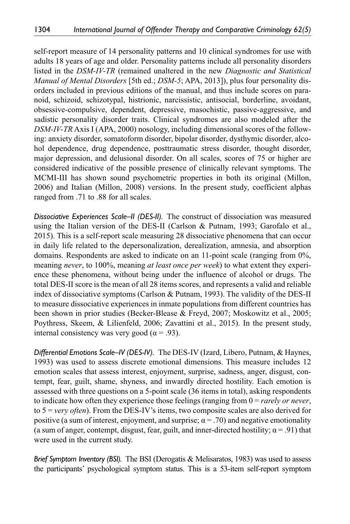self-report measure of 14 personality patterns and 10 clinical syndromes for use with adults 18 years of age and older. Personality patterns include all personality disorders listed in the *DSM-IV-TR* (remained unaltered in the new *Diagnostic and Statistical Manual of Mental Disorders* [5th ed.; *DSM-5*; APA, 2013]), plus four personality disorders included in previous editions of the manual, and thus include scores on paranoid, schizoid, schizotypal, histrionic, narcissistic, antisocial, borderline, avoidant, obsessive-compulsive, dependent, depressive, masochistic, passive-aggressive, and sadistic personality disorder traits. Clinical syndromes are also modeled after the *DSM-IV-TR* Axis I (APA, 2000) nosology, including dimensional scores of the following: anxiety disorder, somatoform disorder, bipolar disorder, dysthymic disorder, alcohol dependence, drug dependence, posttraumatic stress disorder, thought disorder, major depression, and delusional disorder. On all scales, scores of 75 or higher are considered indicative of the possible presence of clinically relevant symptoms. The MCMI-III has shown sound psychometric properties in both its original (Millon, 2006) and Italian (Millon, 2008) versions. In the present study, coefficient alphas ranged from .71 to .88 for all scales.

*Dissociative Experiences Scale–II (DES-II).* The construct of dissociation was measured using the Italian version of the DES-II (Carlson & Putnam, 1993; Garofalo et al., 2015). This is a self-report scale measuring 28 dissociative phenomena that can occur in daily life related to the depersonalization, derealization, amnesia, and absorption domains. Respondents are asked to indicate on an 11-point scale (ranging from 0%, meaning *never*, to 100%, meaning *at least once per week*) to what extent they experience these phenomena, without being under the influence of alcohol or drugs. The total DES-II score is the mean of all 28 items scores, and represents a valid and reliable index of dissociative symptoms (Carlson & Putnam, 1993). The validity of the DES-II to measure dissociative experiences in inmate populations from different countries has been shown in prior studies (Becker-Blease & Freyd, 2007; Moskowitz et al., 2005; Poythress, Skeem, & Lilienfeld, 2006; Zavattini et al., 2015). In the present study, internal consistency was very good ( $α = .93$ ).

*Differential Emotions Scale–IV (DES-IV).* The DES-IV (Izard, Libero, Putnam, & Haynes, 1993) was used to assess discrete emotional dimensions. This measure includes 12 emotion scales that assess interest, enjoyment, surprise, sadness, anger, disgust, contempt, fear, guilt, shame, shyness, and inwardly directed hostility. Each emotion is assessed with three questions on a 5-point scale (36 items in total), asking respondents to indicate how often they experience those feelings (ranging from 0 = *rarely or never*, to 5 = *very often*). From the DES-IV's items, two composite scales are also derived for positive (a sum of interest, enjoyment, and surprise;  $\alpha = .70$ ) and negative emotionality (a sum of anger, contempt, disgust, fear, guilt, and inner-directed hostility;  $\alpha = .91$ ) that were used in the current study.

*Brief Symptom Inventory (BSI).* The BSI (Derogatis & Melisaratos, 1983) was used to assess the participants' psychological symptom status. This is a 53-item self-report symptom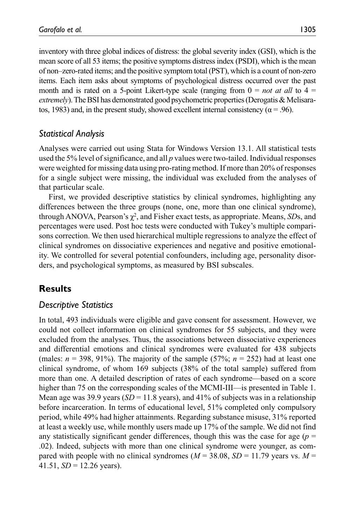inventory with three global indices of distress: the global severity index (GSI), which is the mean score of all 53 items; the positive symptoms distress index (PSDI), which is the mean of non–zero-rated items; and the positive symptom total (PST), which is a count of non-zero items. Each item asks about symptoms of psychological distress occurred over the past month and is rated on a 5-point Likert-type scale (ranging from  $0 = not$  at all to  $4 =$ *extremely*). The BSI has demonstrated good psychometric properties (Derogatis & Melisaratos, 1983) and, in the present study, showed excellent internal consistency ( $\alpha$  = .96).

# *Statistical Analysis*

Analyses were carried out using Stata for Windows Version 13.1. All statistical tests used the 5% level of significance, and all *p* values were two-tailed. Individual responses were weighted for missing data using pro-rating method. If more than 20% of responses for a single subject were missing, the individual was excluded from the analyses of that particular scale.

First, we provided descriptive statistics by clinical syndromes, highlighting any differences between the three groups (none, one, more than one clinical syndrome), through ANOVA, Pearson's  $\chi^2$ , and Fisher exact tests, as appropriate. Means, *SDs*, and percentages were used. Post hoc tests were conducted with Tukey's multiple comparisons correction. We then used hierarchical multiple regressions to analyze the effect of clinical syndromes on dissociative experiences and negative and positive emotionality. We controlled for several potential confounders, including age, personality disorders, and psychological symptoms, as measured by BSI subscales.

# **Results**

## *Descriptive Statistics*

In total, 493 individuals were eligible and gave consent for assessment. However, we could not collect information on clinical syndromes for 55 subjects, and they were excluded from the analyses. Thus, the associations between dissociative experiences and differential emotions and clinical syndromes were evaluated for 438 subjects (males:  $n = 398, 91\%$ ). The majority of the sample (57%;  $n = 252$ ) had at least one clinical syndrome, of whom 169 subjects (38% of the total sample) suffered from more than one. A detailed description of rates of each syndrome—based on a score higher than 75 on the corresponding scales of the MCMI-III—is presented in Table 1. Mean age was 39.9 years  $(SD = 11.8$  years), and 41% of subjects was in a relationship before incarceration. In terms of educational level, 51% completed only compulsory period, while 49% had higher attainments. Regarding substance misuse, 31% reported at least a weekly use, while monthly users made up 17% of the sample. We did not find any statistically significant gender differences, though this was the case for age ( $p =$ .02). Indeed, subjects with more than one clinical syndrome were younger, as compared with people with no clinical syndromes ( $M = 38.08$ ,  $SD = 11.79$  years vs.  $M =$ 41.51,  $SD = 12.26$  years).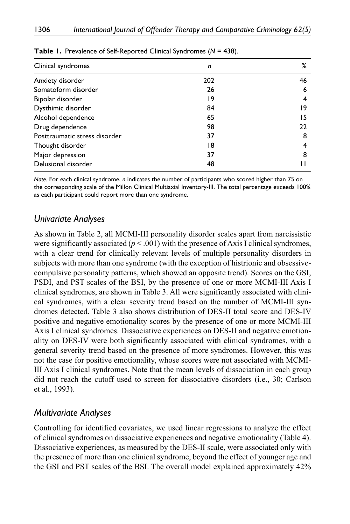| %  |
|----|
| 46 |
| 6  |
|    |
| ۱9 |
| 15 |
| 22 |
| 8  |
|    |
| 8  |
|    |
|    |

**Table 1.** Prevalence of Self-Reported Clinical Syndromes (*N* = 438).

*Note.* For each clinical syndrome, *n* indicates the number of participants who scored higher than 75 on the corresponding scale of the Millon Clinical Multiaxial Inventory-III. The total percentage exceeds 100% as each participant could report more than one syndrome.

## *Univariate Analyses*

As shown in Table 2, all MCMI-III personality disorder scales apart from narcissistic were significantly associated  $(p < .001)$  with the presence of Axis I clinical syndromes, with a clear trend for clinically relevant levels of multiple personality disorders in subjects with more than one syndrome (with the exception of histrionic and obsessivecompulsive personality patterns, which showed an opposite trend). Scores on the GSI, PSDI, and PST scales of the BSI, by the presence of one or more MCMI-III Axis I clinical syndromes, are shown in Table 3. All were significantly associated with clinical syndromes, with a clear severity trend based on the number of MCMI-III syndromes detected. Table 3 also shows distribution of DES-II total score and DES-IV positive and negative emotionality scores by the presence of one or more MCMI-III Axis I clinical syndromes. Dissociative experiences on DES-II and negative emotionality on DES-IV were both significantly associated with clinical syndromes, with a general severity trend based on the presence of more syndromes. However, this was not the case for positive emotionality, whose scores were not associated with MCMI-III Axis I clinical syndromes. Note that the mean levels of dissociation in each group did not reach the cutoff used to screen for dissociative disorders (i.e., 30; Carlson et al., 1993).

## *Multivariate Analyses*

Controlling for identified covariates, we used linear regressions to analyze the effect of clinical syndromes on dissociative experiences and negative emotionality (Table 4). Dissociative experiences, as measured by the DES-II scale, were associated only with the presence of more than one clinical syndrome, beyond the effect of younger age and the GSI and PST scales of the BSI. The overall model explained approximately 42%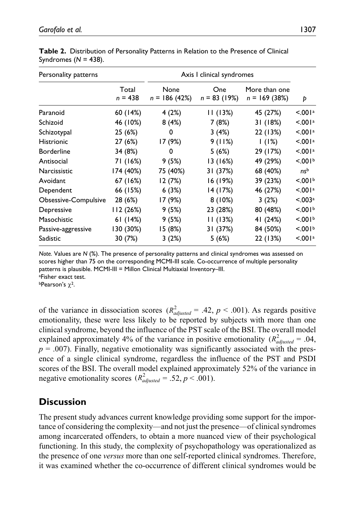| Personality patterns |                    | Axis I clinical syndromes |                       |                                 |                     |
|----------------------|--------------------|---------------------------|-----------------------|---------------------------------|---------------------|
|                      | Total<br>$n = 438$ | None<br>$n = 186(42%)$    | One<br>$n = 83$ (19%) | More than one<br>$n = 169(38%)$ | Þ                   |
| Paranoid             | 60 (14%)           | 4 (2%)                    | 11(13%)               | 45 (27%)                        | < 0.01a             |
| Schizoid             | 46 (10%)           | 8(4%)                     | 7 (8%)                | 31 (18%)                        | < 0.01a             |
| Schizotypal          | 25 (6%)            | 0                         | 3(4%)                 | 22 (13%)                        | < 0.01a             |
| <b>Histrionic</b>    | 27 (6%)            | 17 (9%)                   | 9(11%)                | 1(1%)                           | < 0.01a             |
| <b>Borderline</b>    | 34 (8%)            | 0                         | 5(6%)                 | 29 (17%)                        | < 0.01a             |
| Antisocial           | 71 (16%)           | 9(5%)                     | 13 (16%)              | 49 (29%)                        | < 0.01 <sup>b</sup> |
| <b>Narcissistic</b>  | 174 (40%)          | 75 (40%)                  | 31 (37%)              | 68 (40%)                        | nsb                 |
| Avoidant             | 67 (16%)           | 12 (7%)                   | 16 (19%)              | 39 (23%)                        | < 0.01 <sup>b</sup> |
| Dependent            | 66 (15%)           | 6(3%)                     | 14 (17%)              | 46 (27%)                        | < 0.01a             |
| Obsessive-Compulsive | 28 (6%)            | 17 (9%)                   | 8(10%)                | 3(2%)                           | < 0.03a             |
| Depressive           | 112 (26%)          | 9(5%)                     | 23 (28%)              | 80 (48%)                        | < 0.01 <sup>b</sup> |
| Masochistic          | 61(14%)            | 9(5%)                     | 11(13%)               | 41 (24%)                        | < 0.01 <sup>b</sup> |
| Passive-aggressive   | 130 (30%)          | 15 (8%)                   | 31 (37%)              | 84 (50%)                        | < 0.01 <sup>b</sup> |
| <b>Sadistic</b>      | 30 (7%)            | 3(2%)                     | 5(6%)                 | 22 (13%)                        | <.001ª              |

**Table 2.** Distribution of Personality Patterns in Relation to the Presence of Clinical Syndromes (*N* = 438).

*Note.* Values are *N* (%). The presence of personality patterns and clinical syndromes was assessed on scores higher than 75 on the corresponding MCMI-III scale. Co-occurrence of multiple personality patterns is plausible. MCMI-III = Millon Clinical Multiaxial Inventory–III. a Fisher exact test.

 $<sup>b</sup>Pearson's  $χ²$ .$ </sup>

of the variance in dissociation scores  $(R_{adjusted}^2 = .42, p < .001)$ . As regards positive emotionality, these were less likely to be reported by subjects with more than one clinical syndrome, beyond the influence of the PST scale of the BSI. The overall model explained approximately 4% of the variance in positive emotionality  $(R_{\text{adjusted}}^2 = .04,$  $p = .007$ ). Finally, negative emotionality was significantly associated with the presence of a single clinical syndrome, regardless the influence of the PST and PSDI scores of the BSI. The overall model explained approximately 52% of the variance in negative emotionality scores  $(R_{adjusted}^2 = .52, p < .001)$ .

# **Discussion**

The present study advances current knowledge providing some support for the importance of considering the complexity—and not just the presence—of clinical syndromes among incarcerated offenders, to obtain a more nuanced view of their psychological functioning. In this study, the complexity of psychopathology was operationalized as the presence of one *versus* more than one self-reported clinical syndromes. Therefore, it was examined whether the co-occurrence of different clinical syndromes would be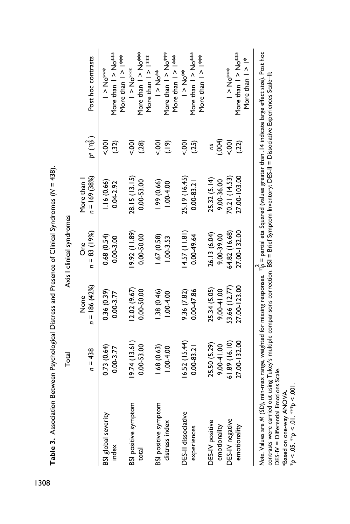|                      | Total         |                        | Axis I clinical syndromes |                             |                       |                       |
|----------------------|---------------|------------------------|---------------------------|-----------------------------|-----------------------|-----------------------|
|                      | $n = 438$     | $n = 186(42%)$<br>None | $n = 83(19%)$<br>င်္ဂီ    | $n = 169(38%)$<br>More than | $P^{a}(\eta_{P}^{2})$ | Post hoc contrasts    |
| BSI global severity  | 0.73(0.64)    | 0.36 (0.39)            | 0.68(0.54)                | 1.16(0.66)                  | $rac{100}{x}$         | **oN <                |
| index                | $0.00 - 3.77$ | $0.00 - 3.77$          | 0.00-3.00                 | $0.04 - 2.92$               | (32)                  | More than I > No***   |
|                      |               |                        |                           |                             |                       | More than $  >  $ *** |
| BSI positive symptom | 9.74(13.61)   | 2.02 (9.67)            | 9.92 (11.89)              | 28.15 (13.15)               | $rac{1}{\sqrt{2}}$    | **。<br>●N ∧           |
| total                | 0.00-53.00    | 0.00-50.00             | 0.00-50.00                | 0.00-53.00                  | (28)                  | More than I > No***   |
|                      |               |                        |                           |                             |                       | More than $  >  $ *** |
| BSI positive symptom | 1.68(0.63)    | 1.38 (0.46)            | 1.67(0.58)                | (99.0) 66                   | $rac{1}{2}$           | ※oN < 1               |
| distress index       | 1.00-4.00     | $0.00 - 0.00$          | $1.00 - 3.53$             | 1.004.00                    | $\left($ .)           | More than I > No***   |
|                      |               |                        |                           |                             |                       | More than $  >  $ *** |
| DES-II dissociative  | 6.52(15.44)   | 9.36 (7.82)            | 4.57(11.81)               | 25.19 (16.45)               | $\frac{1}{2}$         | ≹oN∧—                 |
| experiences          | 0.00-83.21    | $0.00 - 47.86$         | 0.00-49.64                | $0.00 - 83.21$              | (25)                  | More than I > No***   |
|                      |               |                        |                           |                             |                       | More than $  >  $ *** |
| DES-IV positive      | 25.50 (5.29)  | 25.34 (5.05)           | 26.13 (6.04)              | 25.32 (5.14)                | SJ                    |                       |
| emotionality         | 9.00-41.00    | 9.00-41.00             | 9.00-39.00                | 9.00-36.00                  | (004)                 |                       |
| DES-IV negative      | 61.89 (16.10) | 53.66 (12.77)          | 64.82 (16.68)             | 70.21(14.53)                | $\overline{5}$        | **oN < 1              |
| emotionality         | 27.00-132.00  | 27.00-123.00           | 27.00-132.00              | 27.00-103.00                | (22)                  | More than I > No***   |
|                      |               |                        |                           |                             |                       | More than $  \ge  ^*$ |

1308 **Table 3.** Association Between Psychological Distress and Presence of Clinical Syndromes (*N* = 438). **Table 3.** Association Between Psychological Distress and Presence of Clinical Syndromes ( $N = 438$ ).

Note. Values are M (SD), min-max range, weighted for missing responses. "1 $\frak{h}$  = partial eta Squared (values greater than .14 indicate large effect size). Post hoc<br>contrasts were carried out using Tukey's multiple comp *Note.* Values are *M* (*SD*), min-max range, weighted for missing responses. η2*p* = partial eta Squared (values greater than .14 indicate large effect size). Post hoc contrasts were carried out using Tukey's multiple comparisons correction. BSI = Brief Symptom Inventory; DES-II = Dissociative Experiences Scale–II; DES-IV = Differential Emotions Scale. DES-IV = Differential Emotions Scale. Based on one-way ANOVA. aBased on one-way ANOVA.

\**p* < .05. \*\**p* < .01. \*\*\**p* < .001.

 $*p < .05$ ,  $*^{exp} < .01$ ,  $*^{exp} p < .001$ .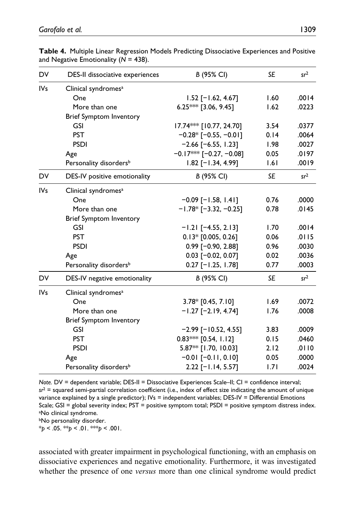| DV              | DES-II dissociative experiences    | B (95% CI)                       | <b>SE</b> | sr <sup>2</sup> |
|-----------------|------------------------------------|----------------------------------|-----------|-----------------|
| IV <sub>s</sub> | Clinical syndromes <sup>a</sup>    |                                  |           |                 |
|                 | One                                | $1.52$ [-1.62, 4.67]             | 1.60      | .0014           |
|                 | More than one                      | 6.25*** [3.06, 9.45]             | 1.62      | .0223           |
|                 | <b>Brief Symptom Inventory</b>     |                                  |           |                 |
|                 | <b>GSI</b>                         | 17.74*** [10.77, 24.70]          | 3.54      | .0377           |
|                 | <b>PST</b>                         | $-0.28*$ [-0.55, -0.01]          | 0.14      | .0064           |
|                 | <b>PSDI</b>                        | $-2.66$ [ $-6.55$ , 1.23]        | 1.98      | .0027           |
|                 | Age                                | $-0.17***$ [-0.27, -0.08]        | 0.05      | .0197           |
|                 | Personality disorders <sup>b</sup> | $1.82$ [-1.34, 4.99]             | 1.61      | .0019           |
| DV              | DES-IV positive emotionality       | B (95% CI)                       | <b>SE</b> | sr <sup>2</sup> |
| IV <sub>s</sub> | Clinical syndromes <sup>a</sup>    |                                  |           |                 |
|                 | One                                | $-0.09$ [-1.58, 1.41]            | 0.76      | .0000           |
|                 | More than one                      | $-1.78*$ [-3.32, -0.25]          | 0.78      | .0145           |
|                 | <b>Brief Symptom Inventory</b>     |                                  |           |                 |
|                 | <b>GSI</b>                         | $-1.21$ [-4.55, 2.13]            | 1.70      | .0014           |
|                 | <b>PST</b>                         | $0.13*$ [0.005, 0.26]            | 0.06      | .0115           |
|                 | <b>PSDI</b>                        | $0.99$ [-0.90, 2.88]             | 0.96      | .0030           |
|                 | Age                                | $0.03$ [-0.02, 0.07]             | 0.02      | .0036           |
|                 | Personality disorders <sup>b</sup> | $0.27$ [-1.25, 1.78]             | 0.77      | .0003           |
| DV              | DES-IV negative emotionality       | B (95% CI)                       | <b>SE</b> | sr <sup>2</sup> |
| IV <sub>s</sub> | Clinical syndromes <sup>a</sup>    |                                  |           |                 |
|                 | One                                | 3.78* [0.45, 7.10]               | 1.69      | .0072           |
|                 | More than one                      | $-1.27$ [-2.19, 4.74]            | 1.76      | .0008           |
|                 | <b>Brief Symptom Inventory</b>     |                                  |           |                 |
|                 | <b>GSI</b>                         | $-2.99$ [-10.52, 4.55]           | 3.83      | .0009           |
|                 | <b>PST</b>                         | $0.83***$ [0.54, 1.12]           | 0.15      | .0460           |
|                 | <b>PSDI</b>                        | 5.87 <sup>**</sup> [1.70, 10.03] | 2.12      | .0110           |
|                 | Age                                | $-0.01$ [ $-0.11$ , 0.10]        | 0.05      | .0000           |
|                 | Personality disorders <sup>b</sup> | $2.22$ [-1.14, 5.57]             | 1.71      | .0024           |

**Table 4.** Multiple Linear Regression Models Predicting Dissociative Experiences and Positive and Negative Emotionality (*N* = 438).

*Note.* DV = dependent variable; DES-II = Dissociative Experiences Scale–II; CI = confidence interval; *sr*2 = squared semi-partial correlation coefficient (i.e., index of effect size indicating the amount of unique variance explained by a single predictor); IVs = independent variables; DES-IV = Differential Emotions Scale; GSI = global severity index; PST = positive symptom total; PSDI = positive symptom distress index. a No clinical syndrome. **bNo personality disorder.** 

 $*_{p}$  < .05. \*\**p* < .01. \*\**p* < .001.

associated with greater impairment in psychological functioning, with an emphasis on dissociative experiences and negative emotionality. Furthermore, it was investigated whether the presence of one *versus* more than one clinical syndrome would predict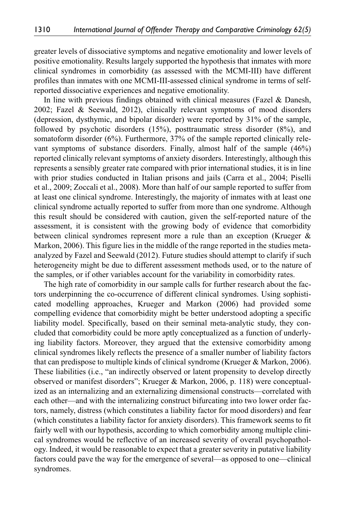greater levels of dissociative symptoms and negative emotionality and lower levels of positive emotionality. Results largely supported the hypothesis that inmates with more clinical syndromes in comorbidity (as assessed with the MCMI-III) have different profiles than inmates with one MCMI-III-assessed clinical syndrome in terms of selfreported dissociative experiences and negative emotionality.

In line with previous findings obtained with clinical measures (Fazel & Danesh, 2002; Fazel & Seewald, 2012), clinically relevant symptoms of mood disorders (depression, dysthymic, and bipolar disorder) were reported by 31% of the sample, followed by psychotic disorders (15%), posttraumatic stress disorder (8%), and somatoform disorder (6%). Furthermore, 37% of the sample reported clinically relevant symptoms of substance disorders. Finally, almost half of the sample (46%) reported clinically relevant symptoms of anxiety disorders. Interestingly, although this represents a sensibly greater rate compared with prior international studies, it is in line with prior studies conducted in Italian prisons and jails (Carra et al., 2004; Piselli et al., 2009; Zoccali et al., 2008). More than half of our sample reported to suffer from at least one clinical syndrome. Interestingly, the majority of inmates with at least one clinical syndrome actually reported to suffer from more than one syndrome. Although this result should be considered with caution, given the self-reported nature of the assessment, it is consistent with the growing body of evidence that comorbidity between clinical syndromes represent more a rule than an exception (Krueger & Markon, 2006). This figure lies in the middle of the range reported in the studies metaanalyzed by Fazel and Seewald (2012). Future studies should attempt to clarify if such heterogeneity might be due to different assessment methods used, or to the nature of the samples, or if other variables account for the variability in comorbidity rates.

The high rate of comorbidity in our sample calls for further research about the factors underpinning the co-occurrence of different clinical syndromes. Using sophisticated modelling approaches, Krueger and Markon (2006) had provided some compelling evidence that comorbidity might be better understood adopting a specific liability model. Specifically, based on their seminal meta-analytic study, they concluded that comorbidity could be more aptly conceptualized as a function of underlying liability factors. Moreover, they argued that the extensive comorbidity among clinical syndromes likely reflects the presence of a smaller number of liability factors that can predispose to multiple kinds of clinical syndrome (Krueger & Markon, 2006). These liabilities (i.e., "an indirectly observed or latent propensity to develop directly observed or manifest disorders"; Krueger & Markon, 2006, p. 118) were conceptualized as an internalizing and an externalizing dimensional constructs—correlated with each other—and with the internalizing construct bifurcating into two lower order factors, namely, distress (which constitutes a liability factor for mood disorders) and fear (which constitutes a liability factor for anxiety disorders). This framework seems to fit fairly well with our hypothesis, according to which comorbidity among multiple clinical syndromes would be reflective of an increased severity of overall psychopathology. Indeed, it would be reasonable to expect that a greater severity in putative liability factors could pave the way for the emergence of several—as opposed to one—clinical syndromes.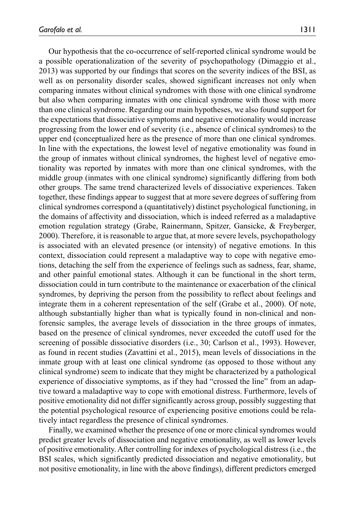Our hypothesis that the co-occurrence of self-reported clinical syndrome would be a possible operationalization of the severity of psychopathology (Dimaggio et al., 2013) was supported by our findings that scores on the severity indices of the BSI, as well as on personality disorder scales, showed significant increases not only when comparing inmates without clinical syndromes with those with one clinical syndrome but also when comparing inmates with one clinical syndrome with those with more than one clinical syndrome. Regarding our main hypotheses, we also found support for the expectations that dissociative symptoms and negative emotionality would increase progressing from the lower end of severity (i.e., absence of clinical syndromes) to the upper end (conceptualized here as the presence of more than one clinical syndromes. In line with the expectations, the lowest level of negative emotionality was found in the group of inmates without clinical syndromes, the highest level of negative emotionality was reported by inmates with more than one clinical syndromes, with the middle group (inmates with one clinical syndrome) significantly differing from both other groups. The same trend characterized levels of dissociative experiences. Taken together, these findings appear to suggest that at more severe degrees of suffering from clinical syndromes correspond a (quantitatively) distinct psychological functioning, in the domains of affectivity and dissociation, which is indeed referred as a maladaptive emotion regulation strategy (Grabe, Rainermann, Spitzer, Gansicke, & Freyberger, 2000). Therefore, it is reasonable to argue that, at more severe levels, psychopathology is associated with an elevated presence (or intensity) of negative emotions. In this context, dissociation could represent a maladaptive way to cope with negative emotions, detaching the self from the experience of feelings such as sadness, fear, shame, and other painful emotional states. Although it can be functional in the short term, dissociation could in turn contribute to the maintenance or exacerbation of the clinical syndromes, by depriving the person from the possibility to reflect about feelings and integrate them in a coherent representation of the self (Grabe et al., 2000). Of note, although substantially higher than what is typically found in non-clinical and nonforensic samples, the average levels of dissociation in the three groups of inmates, based on the presence of clinical syndromes, never exceeded the cutoff used for the screening of possible dissociative disorders (i.e., 30; Carlson et al., 1993). However, as found in recent studies (Zavattini et al., 2015), mean levels of dissociations in the inmate group with at least one clinical syndrome (as opposed to those without any clinical syndrome) seem to indicate that they might be characterized by a pathological experience of dissociative symptoms, as if they had "crossed the line" from an adaptive toward a maladaptive way to cope with emotional distress. Furthermore, levels of positive emotionality did not differ significantly across group, possibly suggesting that the potential psychological resource of experiencing positive emotions could be relatively intact regardless the presence of clinical syndromes.

Finally, we examined whether the presence of one or more clinical syndromes would predict greater levels of dissociation and negative emotionality, as well as lower levels of positive emotionality. After controlling for indexes of psychological distress (i.e., the BSI scales, which significantly predicted dissociation and negative emotionality, but not positive emotionality, in line with the above findings), different predictors emerged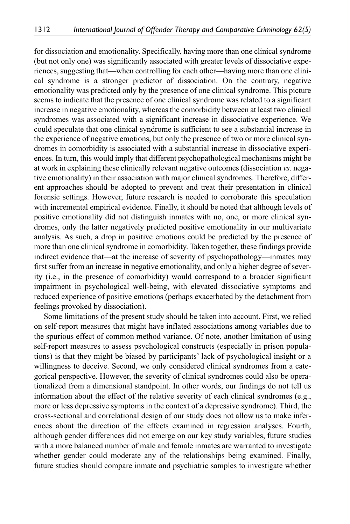for dissociation and emotionality. Specifically, having more than one clinical syndrome (but not only one) was significantly associated with greater levels of dissociative experiences, suggesting that—when controlling for each other—having more than one clinical syndrome is a stronger predictor of dissociation. On the contrary, negative emotionality was predicted only by the presence of one clinical syndrome. This picture seems to indicate that the presence of one clinical syndrome was related to a significant increase in negative emotionality, whereas the comorbidity between at least two clinical syndromes was associated with a significant increase in dissociative experience. We could speculate that one clinical syndrome is sufficient to see a substantial increase in the experience of negative emotions, but only the presence of two or more clinical syndromes in comorbidity is associated with a substantial increase in dissociative experiences. In turn, this would imply that different psychopathological mechanisms might be at work in explaining these clinically relevant negative outcomes (dissociation *vs.* negative emotionality) in their association with major clinical syndromes. Therefore, different approaches should be adopted to prevent and treat their presentation in clinical forensic settings. However, future research is needed to corroborate this speculation with incremental empirical evidence. Finally, it should be noted that although levels of positive emotionality did not distinguish inmates with no, one, or more clinical syndromes, only the latter negatively predicted positive emotionality in our multivariate analysis. As such, a drop in positive emotions could be predicted by the presence of more than one clinical syndrome in comorbidity. Taken together, these findings provide indirect evidence that—at the increase of severity of psychopathology—inmates may first suffer from an increase in negative emotionality, and only a higher degree of severity (i.e., in the presence of comorbidity) would correspond to a broader significant impairment in psychological well-being, with elevated dissociative symptoms and reduced experience of positive emotions (perhaps exacerbated by the detachment from feelings provoked by dissociation).

Some limitations of the present study should be taken into account. First, we relied on self-report measures that might have inflated associations among variables due to the spurious effect of common method variance. Of note, another limitation of using self-report measures to assess psychological constructs (especially in prison populations) is that they might be biased by participants' lack of psychological insight or a willingness to deceive. Second, we only considered clinical syndromes from a categorical perspective. However, the severity of clinical syndromes could also be operationalized from a dimensional standpoint. In other words, our findings do not tell us information about the effect of the relative severity of each clinical syndromes (e.g., more or less depressive symptoms in the context of a depressive syndrome). Third, the cross-sectional and correlational design of our study does not allow us to make inferences about the direction of the effects examined in regression analyses. Fourth, although gender differences did not emerge on our key study variables, future studies with a more balanced number of male and female inmates are warranted to investigate whether gender could moderate any of the relationships being examined. Finally, future studies should compare inmate and psychiatric samples to investigate whether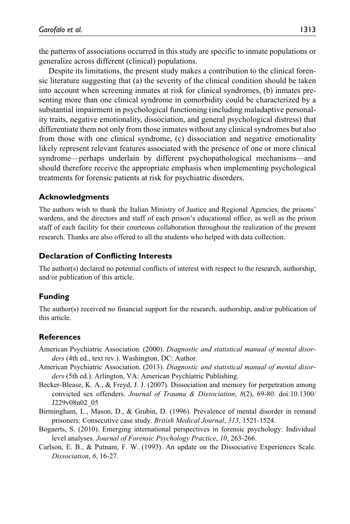the patterns of associations occurred in this study are specific to inmate populations or generalize across different (clinical) populations.

Despite its limitations, the present study makes a contribution to the clinical forensic literature suggesting that (a) the severity of the clinical condition should be taken into account when screening inmates at risk for clinical syndromes, (b) inmates presenting more than one clinical syndrome in comorbidity could be characterized by a substantial impairment in psychological functioning (including maladaptive personality traits, negative emotionality, dissociation, and general psychological distress) that differentiate them not only from those inmates without any clinical syndromes but also from those with one clinical syndrome, (c) dissociation and negative emotionality likely represent relevant features associated with the presence of one or more clinical syndrome—perhaps underlain by different psychopathological mechanisms—and should therefore receive the appropriate emphasis when implementing psychological treatments for forensic patients at risk for psychiatric disorders.

### **Acknowledgments**

The authors wish to thank the Italian Ministry of Justice and Regional Agencies, the prisons' wardens, and the directors and staff of each prison's educational office, as well as the prison staff of each facility for their courteous collaboration throughout the realization of the present research. Thanks are also offered to all the students who helped with data collection.

#### **Declaration of Conflicting Interests**

The author(s) declared no potential conflicts of interest with respect to the research, authorship, and/or publication of this article.

#### **Funding**

The author(s) received no financial support for the research, authorship, and/or publication of this article.

#### **References**

- American Psychiatric Association. (2000). *Diagnostic and statistical manual of mental disorders* (4th ed., text rev.). Washington, DC: Author.
- American Psychiatric Association. (2013). *Diagnostic and statistical manual of mental disorders* (5th ed.). Arlington, VA: American Psychiatric Publishing.
- Becker-Blease, K. A., & Freyd, J. J. (2007). Dissociation and memory for perpetration among convicted sex offenders. *Journal of Trauma & Dissociation*, *8*(2), 69-80. doi:10.1300/ J229v08n02\_05
- Birmingham, L., Mason, D., & Grubin, D. (1996). Prevalence of mental disorder in remand prisoners: Consecutive case study. *British Medical Journal*, *313*, 1521-1524.
- Bogaerts, S. (2010). Emerging international perspectives in forensic psychology: Individual level analyses. *Journal of Forensic Psychology Practice*, *10*, 263-266.
- Carlson, E. B., & Putnam, F. W. (1993). An update on the Dissociative Experiences Scale. *Dissociation*, *6*, 16-27.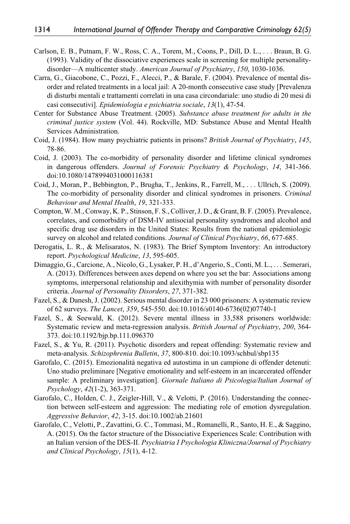- Carlson, E. B., Putnam, F. W., Ross, C. A., Torem, M., Coons, P., Dill, D. L., . . . Braun, B. G. (1993). Validity of the dissociative experiences scale in screening for multiple personalitydisorder—A multicenter study. *American Journal of Psychiatry*, *150*, 1030-1036.
- Carra, G., Giacobone, C., Pozzi, F., Alecci, P., & Barale, F. (2004). Prevalence of mental disorder and related treatments in a local jail: A 20-month consecutive case study [Prevalenza di disturbi mentali e trattamenti correlati in una casa circondariale: uno studio di 20 mesi di casi consecutivi]. *Epidemiologia e psichiatria sociale*, *13*(1), 47-54.
- Center for Substance Abuse Treatment. (2005). *Substance abuse treatment for adults in the criminal justice system* (Vol. 44). Rockville, MD: Substance Abuse and Mental Health Services Administration.
- Coid, J. (1984). How many psychiatric patients in prisons? *British Journal of Psychiatry*, *145*, 78-86.
- Coid, J. (2003). The co-morbidity of personality disorder and lifetime clinical syndromes in dangerous offenders. *Journal of Forensic Psychiatry & Psychology*, *14*, 341-366. doi:10.1080/1478994031000116381
- Coid, J., Moran, P., Bebbington, P., Brugha, T., Jenkins, R., Farrell, M., . . . Ullrich, S. (2009). The co-morbidity of personality disorder and clinical syndromes in prisoners. *Criminal Behaviour and Mental Health*, *19*, 321-333.
- Compton, W. M., Conway, K. P., Stinson, F. S., Colliver, J. D., & Grant, B. F. (2005). Prevalence, correlates, and comorbidity of DSM-IV antisocial personality syndromes and alcohol and specific drug use disorders in the United States: Results from the national epidemiologic survey on alcohol and related conditions. *Journal of Clinical Psychiatry*, *66*, 677-685.
- Derogatis, L. R., & Melisaratos, N. (1983). The Brief Symptom Inventory: An introductory report. *Psychological Medicine*, *13*, 595-605.
- Dimaggio, G., Carcione, A., Nicolo, G., Lysaker, P. H., d'Angerio, S., Conti, M. L., . . . Semerari, A. (2013). Differences between axes depend on where you set the bar: Associations among symptoms, interpersonal relationship and alexithymia with number of personality disorder criteria. *Journal of Personality Disorders*, *27*, 371-382.
- Fazel, S., & Danesh, J. (2002). Serious mental disorder in 23 000 prisoners: A systematic review of 62 surveys. *The Lancet*, *359*, 545-550. doi:10.1016/s0140-6736(02)07740-1
- Fazel, S., & Seewald, K. (2012). Severe mental illness in 33,588 prisoners worldwide: Systematic review and meta-regression analysis. *British Journal of Psychiatry*, *200*, 364- 373. doi:10.1192/bjp.bp.111.096370
- Fazel, S., & Yu, R. (2011). Psychotic disorders and repeat offending: Systematic review and meta-analysis. *Schizophrenia Bulletin*, *37*, 800-810. doi:10.1093/schbul/sbp135
- Garofalo, C. (2015). Emozionalità negativa ed autostima in un campione di offender detenuti: Uno studio preliminare [Negative emotionality and self-esteem in an incarcerated offender sample: A preliminary investigation]. *Giornale Italiano di Psicologia/Italian Journal of Psychology*, *42*(1-2), 363-371.
- Garofalo, C., Holden, C. J., Zeigler-Hill, V., & Velotti, P. (2016). Understanding the connection between self-esteem and aggression: The mediating role of emotion dysregulation. *Aggressive Behavior*, *42*, 3-15. doi:10.1002/ab.21601
- Garofalo, C., Velotti, P., Zavattini, G. C., Tommasi, M., Romanelli, R., Santo, H. E., & Saggino, A. (2015). On the factor structure of the Dissociative Experiences Scale: Contribution with an Italian version of the DES-II. *Psychiatria I Psychologia Kliniczna/Journal of Psychiatry and Clinical Psychology*, *15*(1), 4-12.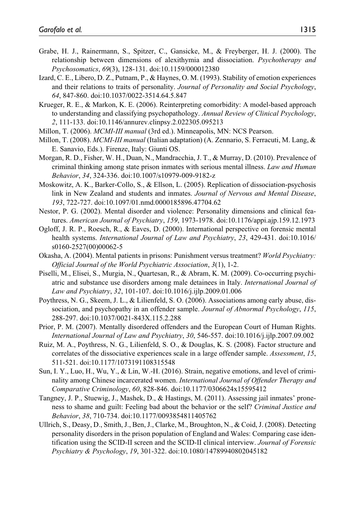- Grabe, H. J., Rainermann, S., Spitzer, C., Gansicke, M., & Freyberger, H. J. (2000). The relationship between dimensions of alexithymia and dissociation. *Psychotherapy and Psychosomatics*, *69*(3), 128-131. doi:10.1159/000012380
- Izard, C. E., Libero, D. Z., Putnam, P., & Haynes, O. M. (1993). Stability of emotion experiences and their relations to traits of personality. *Journal of Personality and Social Psychology*, *64*, 847-860. doi:10.1037/0022-3514.64.5.847
- Krueger, R. E., & Markon, K. E. (2006). Reinterpreting comorbidity: A model-based approach to understanding and classifying psychopathology. *Annual Review of Clinical Psychology*, *2*, 111-133. doi:10.1146/annurev.clinpsy.2.022305.095213
- Millon, T. (2006). *MCMI-III manual* (3rd ed.). Minneapolis, MN: NCS Pearson.
- Millon, T. (2008). *MCMI-III manual* (Italian adaptation) (A. Zennario, S. Ferracuti, M. Lang, & E. Sanavio, Eds.). Firenze, Italy: Giunti OS.
- Morgan, R. D., Fisher, W. H., Duan, N., Mandracchia, J. T., & Murray, D. (2010). Prevalence of criminal thinking among state prison inmates with serious mental illness. *Law and Human Behavior*, *34*, 324-336. doi:10.1007/s10979-009-9182-z
- Moskowitz, A. K., Barker-Collo, S., & Ellson, L. (2005). Replication of dissociation-psychosis link in New Zealand and students and inmates. *Journal of Nervous and Mental Disease*, *193*, 722-727. doi:10.1097/01.nmd.0000185896.47704.62
- Nestor, P. G. (2002). Mental disorder and violence: Personality dimensions and clinical features. *American Journal of Psychiatry*, *159*, 1973-1978. doi:10.1176/appi.ajp.159.12.1973
- Ogloff, J. R. P., Roesch, R., & Eaves, D. (2000). International perspective on forensic mental health systems. *International Journal of Law and Psychiatry*, *23*, 429-431. doi:10.1016/ s0160-2527(00)00062-5
- Okasha, A. (2004). Mental patients in prisons: Punishment versus treatment? *World Psychiatry: Official Journal of the World Psychiatric Association*, *3*(1), 1-2.
- Piselli, M., Elisei, S., Murgia, N., Quartesan, R., & Abram, K. M. (2009). Co-occurring psychiatric and substance use disorders among male detainees in Italy. *International Journal of Law and Psychiatry*, *32*, 101-107. doi:10.1016/j.ijlp.2009.01.006
- Poythress, N. G., Skeem, J. L., & Lilienfeld, S. O. (2006). Associations among early abuse, dissociation, and psychopathy in an offender sample. *Journal of Abnormal Psychology*, *115*, 288-297. doi:10.1037/0021-843X.115.2.288
- Prior, P. M. (2007). Mentally disordered offenders and the European Court of Human Rights. *International Journal of Law and Psychiatry*, *30*, 546-557. doi:10.1016/j.ijlp.2007.09.002
- Ruiz, M. A., Poythress, N. G., Lilienfeld, S. O., & Douglas, K. S. (2008). Factor structure and correlates of the dissociative experiences scale in a large offender sample. *Assessment*, *15*, 511-521. doi:10.1177/1073191108315548
- Sun, I. Y., Luo, H., Wu, Y., & Lin, W.-H. (2016). Strain, negative emotions, and level of criminality among Chinese incarcerated women. *International Journal of Offender Therapy and Comparative Criminology*, *60*, 828-846. doi:10.1177/0306624x15595412
- Tangney, J. P., Stuewig, J., Mashek, D., & Hastings, M. (2011). Assessing jail inmates' proneness to shame and guilt: Feeling bad about the behavior or the self? *Criminal Justice and Behavior*, *38*, 710-734. doi:10.1177/0093854811405762
- Ullrich, S., Deasy, D., Smith, J., Ben, J., Clarke, M., Broughton, N., & Coid, J. (2008). Detecting personality disorders in the prison population of England and Wales: Comparing case identification using the SCID-II screen and the SCID-II clinical interview. *Journal of Forensic Psychiatry & Psychology*, *19*, 301-322. doi:10.1080/14789940802045182